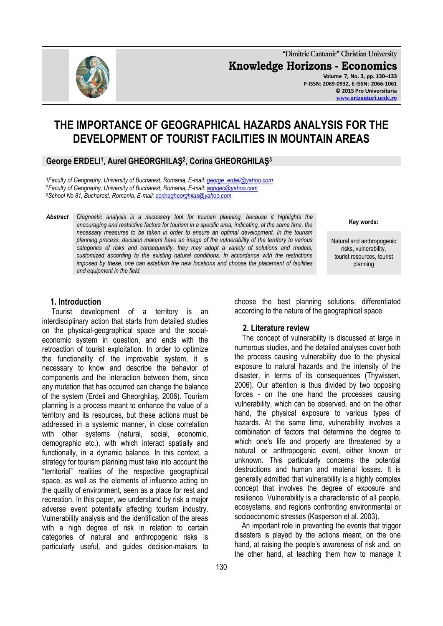**"Dimitrie Cantemir" Christian University Knowledge Horizons - Economics Volume 7, No. 3, pp. 130–133 P-ISSN: 2069-0932, E-ISSN: 2066-1061 © 2015 Pro Universitaria [www.orizonturi.ucdc.ro](http://www.orizonturi.ucdc.ro/)**

# **THE IMPORTANCE OF GEOGRAPHICAL HAZARDS ANALYSIS FOR THE DEVELOPMENT OF TOURIST FACILITIES IN MOUNTAIN AREAS**

### **George ERDELI<sup>1</sup> , Aurel GHEORGHILAŞ<sup>2</sup> , Corina GHEORGHILAŞ<sup>3</sup>**

<sup>1</sup>*Faculty of Geography, University of Bucharest, Romania, E-mail[: george\\_erdeli@yahoo.com](mailto:george_erdeli@yahoo.com)* <sup>2</sup>*Faculty of Geography, University of Bucharest, Romania, E-mail[: aghgeo@yahoo.com](mailto:aghgeo@yahoo.com)* <sup>3</sup>*School No 81, Bucharest, Romania, E-mail[: corinagheorghilas@yahoo.com](mailto:corinagheorghilas@yahoo.com)* 

*Abstract Diagnostic analysis is a necessary tool for tourism planning, because it highlights the encouraging and restrictive factors for tourism in a specific area, indicating, at the same time, the necessary measures to be taken in order to ensure an optimal development. In the tourism planning process, decision makers have an image of the vulnerability of the territory to various categories of risks and consequently, they may adopt a variety of solutions and models, customized according to the existing natural conditions. In accordance with the restrictions imposed by these, one can establish the new locations and choose the placement of facilities and equipment in the field.* 

> choose the best planning solutions, differentiated according to the nature of the geographical space.

### **2. Literature review**

The concept of vulnerability is discussed at large in numerous studies, and the detailed analyses cover both the process causing vulnerability due to the physical exposure to natural hazards and the intensity of the disaster, in terms of its consequences (Thywissen, 2006). Our attention is thus divided by two opposing forces - on the one hand the processes causing vulnerability, which can be observed, and on the other hand, the physical exposure to various types of hazards. At the same time, vulnerability involves a combination of factors that determine the degree to which one's life and property are threatened by a natural or anthropogenic event, either known or unknown. This particularly concerns the potential destructions and human and material losses. It is generally admitted that vulnerability is a highly complex concept that involves the degree of exposure and resilience. Vulnerability is a characteristic of all people, ecosystems, and regions confronting environmental or socioeconomic stresses (Kasperson et al. 2003).

 An important role in preventing the events that trigger disasters is played by the actions meant, on the one hand, at raising the people's awareness of risk and, on the other hand, at teaching them how to manage it

### **1. Introduction**

 Tourist development of a territory is an interdisciplinary action that starts from detailed studies on the physical-geographical space and the socialeconomic system in question, and ends with the retroaction of tourist exploitation. In order to optimize the functionality of the improvable system, it is necessary to know and describe the behavior of components and the interaction between them, since any mutation that has occurred can change the balance of the system (Erdeli and Gheorghilaş, 2006). Tourism planning is a process meant to enhance the value of a territory and its resources, but these actions must be addressed in a systemic manner, in close correlation with other systems (natural, social, economic, demographic etc.), with which interact spatially and functionally, in a dynamic balance. In this context, a strategy for tourism planning must take into account the "territorial" realities of the respective geographical space, as well as the elements of influence acting on the quality of environment, seen as a place for rest and recreation. In this paper, we understand by risk a major adverse event potentially affecting tourism industry. Vulnerability analysis and the identification of the areas with a high degree of risk in relation to certain categories of natural and anthropogenic risks is particularly useful, and guides decision-makers to



# **Key words:**

Natural and anthropogenic risks, vulnerability, tourist resources, tourist planning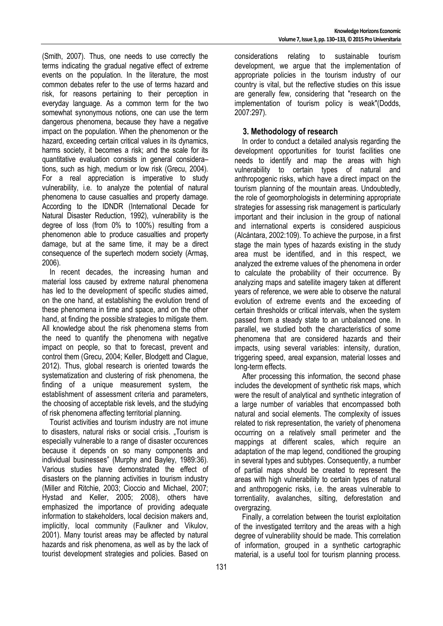(Smith, 2007). Thus, one needs to use correctly the terms indicating the gradual negative effect of extreme events on the population. In the literature, the most common debates refer to the use of terms hazard and risk, for reasons pertaining to their perception in everyday language. As a common term for the two somewhat synonymous notions, one can use the term dangerous phenomena, because they have a negative impact on the population. When the phenomenon or the hazard, exceeding certain critical values in its dynamics, harms society, it becomes a risk; and the scale for its quantitative evaluation consists in general considera– tions, such as high, medium or low risk (Grecu, 2004). For a real appreciation is imperative to study vulnerability, i.e. to analyze the potential of natural phenomena to cause casualties and property damage. According to the IDNDR (International Decade for Natural Disaster Reduction, 1992), vulnerability is the degree of loss (from 0% to 100%) resulting from a phenomenon able to produce casualties and property damage, but at the same time, it may be a direct consequence of the supertech modern society (Armaş, 2006).

 In recent decades, the increasing human and material loss caused by extreme natural phenomena has led to the development of specific studies aimed, on the one hand, at establishing the evolution trend of these phenomena in time and space, and on the other hand, at finding the possible strategies to mitigate them. All knowledge about the risk phenomena stems from the need to quantify the phenomena with negative impact on people, so that to forecast, prevent and control them (Grecu, 2004; Keller, Blodgett and Clague, 2012). Thus, global research is oriented towards the systematization and clustering of risk phenomena, the finding of a unique measurement system, the establishment of assessment criteria and parameters, the choosing of acceptable risk levels, and the studying of risk phenomena affecting territorial planning.

 Tourist activities and tourism industry are not imune to disasters, natural risks or social crisis. "Tourism is especially vulnerable to a range of disaster occurences because it depends on so many components and individual businesses" (Murphy and Bayley, 1989:36). Various studies have demonstrated the effect of disasters on the planning activities in tourism industry (Miller and Ritchie, 2003; Cioccio and Michael, 2007; Hystad and Keller, 2005; 2008), others have emphasized the importance of providing adequate information to stakeholders, local decision makers and, implicitly, local community (Faulkner and Vikulov, 2001). Many tourist areas may be affected by natural hazards and risk phenomena, as well as by the lack of tourist development strategies and policies. Based on

considerations relating to sustainable tourism development, we argue that the implementation of appropriate policies in the tourism industry of our country is vital, but the reflective studies on this issue are generally few, considering that "research on the implementation of tourism policy is weak"(Dodds, 2007:297).

### **3. Methodology of research**

 In order to conduct a detailed analysis regarding the development opportunities for tourist facilities one needs to identify and map the areas with high vulnerability to certain types of natural and anthropogenic risks, which have a direct impact on the tourism planning of the mountain areas. Undoubtedly, the role of geomorphologists in determining appropriate strategies for assessing risk management is particularly important and their inclusion in the group of national and international experts is considered auspicious (Alcántara, 2002:109). To achieve the purpose, in a first stage the main types of hazards existing in the study area must be identified, and in this respect, we analyzed the extreme values of the phenomena in order to calculate the probability of their occurrence. By analyzing maps and satellite imagery taken at different years of reference, we were able to observe the natural evolution of extreme events and the exceeding of certain thresholds or critical intervals, when the system passed from a steady state to an unbalanced one. In parallel, we studied both the characteristics of some phenomena that are considered hazards and their impacts, using several variables: intensity, duration, triggering speed, areal expansion, material losses and long-term effects.

 After processing this information, the second phase includes the development of synthetic risk maps, which were the result of analytical and synthetic integration of a large number of variables that encompassed both natural and social elements. The complexity of issues related to risk representation, the variety of phenomena occurring on a relatively small perimeter and the mappings at different scales, which require an adaptation of the map legend, conditioned the grouping in several types and subtypes. Consequently, a number of partial maps should be created to represent the areas with high vulnerability to certain types of natural and anthropogenic risks, i.e. the areas vulnerable to torrentiality, avalanches, silting, deforestation and overgrazing.

 Finally, a correlation between the tourist exploitation of the investigated territory and the areas with a high degree of vulnerability should be made. This correlation of information, grouped in a synthetic cartographic material, is a useful tool for tourism planning process.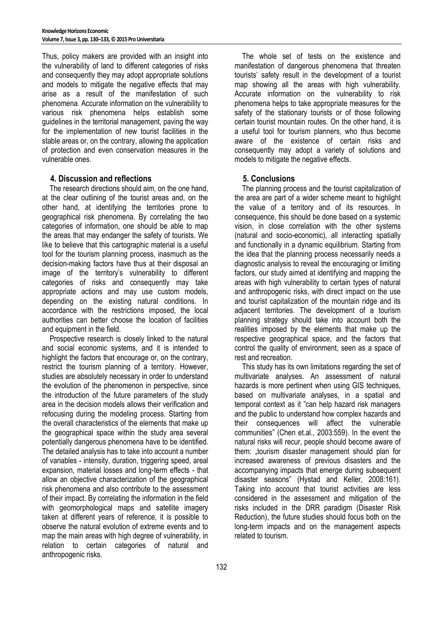Thus, policy makers are provided with an insight into the vulnerability of land to different categories of risks and consequently they may adopt appropriate solutions and models to mitigate the negative effects that may arise as a result of the manifestation of such phenomena. Accurate information on the vulnerability to various risk phenomena helps establish some guidelines in the territorial management, paving the way for the implementation of new tourist facilities in the stable areas or, on the contrary, allowing the application of protection and even conservation measures in the vulnerable ones.

### **4. Discussion and reflections**

 The research directions should aim, on the one hand, at the clear outlining of the tourist areas and, on the other hand, at identifying the territories prone to geographical risk phenomena. By correlating the two categories of information, one should be able to map the areas that may endanger the safety of tourists. We like to believe that this cartographic material is a useful tool for the tourism planning process, inasmuch as the decision-making factors have thus at their disposal an image of the territory's vulnerability to different categories of risks and consequently may take appropriate actions and may use custom models, depending on the existing natural conditions. In accordance with the restrictions imposed, the local authorities can better choose the location of facilities and equipment in the field.

 Prospective research is closely linked to the natural and social economic systems, and it is intended to highlight the factors that encourage or, on the contrary, restrict the tourism planning of a territory. However, studies are absolutely necessary in order to understand the evolution of the phenomenon in perspective, since the introduction of the future parameters of the study area in the decision models allows their verification and refocusing during the modeling process. Starting from the overall characteristics of the elements that make up the geographical space within the study area several potentially dangerous phenomena have to be identified. The detailed analysis has to take into account a number of variables - intensity, duration, triggering speed, areal expansion, material losses and long-term effects - that allow an objective characterization of the geographical risk phenomena and also contribute to the assessment of their impact. By correlating the information in the field with geomorphological maps and satellite imagery taken at different years of reference, it is possible to observe the natural evolution of extreme events and to map the main areas with high degree of vulnerability, in relation to certain categories of natural and anthropogenic risks.

 The whole set of tests on the existence and manifestation of dangerous phenomena that threaten tourists' safety result in the development of a tourist map showing all the areas with high vulnerability. Accurate information on the vulnerability to risk phenomena helps to take appropriate measures for the safety of the stationary tourists or of those following certain tourist mountain routes. On the other hand, it is a useful tool for tourism planners, who thus become aware of the existence of certain risks and consequently may adopt a variety of solutions and models to mitigate the negative effects.

## **5. Conclusions**

 The planning process and the tourist capitalization of the area are part of a wider scheme meant to highlight the value of a territory and of its resources. In consequence, this should be done based on a systemic vision, in close correlation with the other systems (natural and socio-economic), all interacting spatially and functionally in a dynamic equilibrium. Starting from the idea that the planning process necessarily needs a diagnostic analysis to reveal the encouraging or limiting factors, our study aimed at identifying and mapping the areas with high vulnerability to certain types of natural and anthropogenic risks, with direct impact on the use and tourist capitalization of the mountain ridge and its adjacent territories. The development of a tourism planning strategy should take into account both the realities imposed by the elements that make up the respective geographical space, and the factors that control the quality of environment, seen as a space of rest and recreation.

 This study has its own limitations regarding the set of multivariate analyses. An assessment of natural hazards is more pertinent when using GIS techniques, based on multivariate analyses, in a spatial and temporal context as it "can help hazard risk managers and the public to understand how complex hazards and their consequences will affect the vulnerable communities" (Chen et.al., 2003:559). In the event the natural risks will recur, people should become aware of them: "tourism disaster management should plan for increased awareness of previous disasters and the accompanying impacts that emerge during subsequent disaster seasons" (Hystad and Keller, 2008:161). Taking into account that tourist activities are less considered in the assessment and mitigation of the risks included in the DRR paradigm (Disaster Risk Reduction), the future studies should focus both on the long-term impacts and on the management aspects related to tourism.